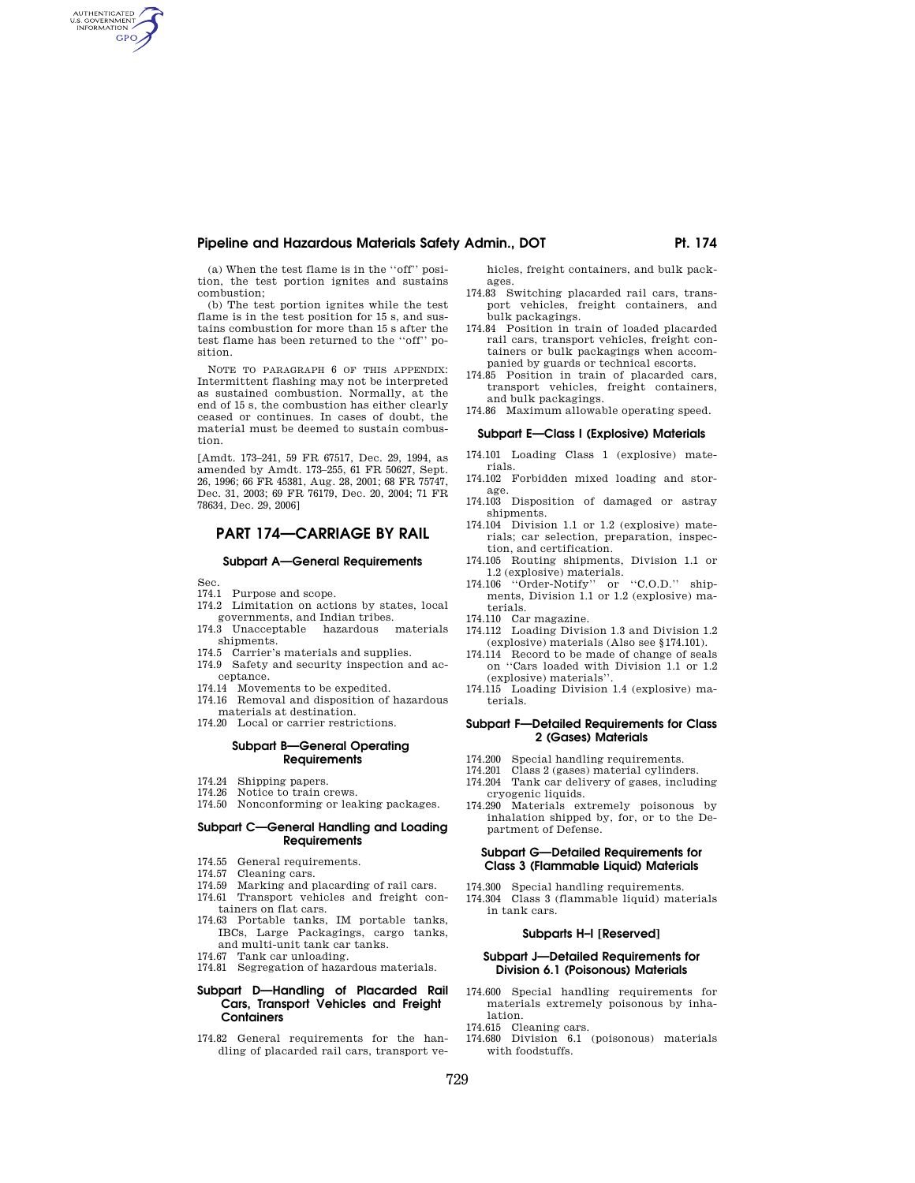# Pipeline and Hazardous Materials Safety Admin., DOT **Ph. 174 Ph. 174**

(a) When the test flame is in the ''off'' position, the test portion ignites and sustains combustion;

(b) The test portion ignites while the test flame is in the test position for 15 s, and sustains combustion for more than 15 s after the test flame has been returned to the ''off'' position.

NOTE TO PARAGRAPH 6 OF THIS APPENDIX: Intermittent flashing may not be interpreted as sustained combustion. Normally, at the end of 15 s, the combustion has either clearly ceased or continues. In cases of doubt, the material must be deemed to sustain combustion.

[Amdt. 173–241, 59 FR 67517, Dec. 29, 1994, as amended by Amdt. 173–255, 61 FR 50627, Sept. 26, 1996; 66 FR 45381, Aug. 28, 2001; 68 FR 75747, Dec. 31, 2003; 69 FR 76179, Dec. 20, 2004; 71 FR 78634, Dec. 29, 2006]

# **PART 174—CARRIAGE BY RAIL**

#### **Subpart A—General Requirements**

Sec.

AUTHENTICATED<br>U.S. GOVERNMENT<br>INFORMATION **GPO** 

- 174.1 Purpose and scope.
- 174.2 Limitation on actions by states, local governments, and Indian tribes.
- 174.3 Unacceptable hazardous materials shipments.
- 174.5 Carrier's materials and supplies.
- 174.9 Safety and security inspection and acceptance.
- 
- 174.14 Movements to be expedited. 174.16 Removal and disposition of hazardous materials at destination.
- 174.20 Local or carrier restrictions.

## **Subpart B—General Operating Requirements**

- 174.24 Shipping papers.<br>174.26 Notice to train c
- Notice to train crews. 174.50 Nonconforming or leaking packages.

# **Subpart C—General Handling and Loading Requirements**

- 174.55 General requirements.
- 174.57 Cleaning cars.
- 174.59 Marking and placarding of rail cars. 174.61 Transport vehicles and freight con-
- tainers on flat cars. 174.63 Portable tanks, IM portable tanks,
- IBCs, Large Packagings, cargo tanks, and multi-unit tank car tanks.
- 174.67 Tank car unloading. 174.81 Segregation of hazardous materials.

### **Subpart D—Handling of Placarded Rail Cars, Transport Vehicles and Freight Containers**

174.82 General requirements for the handling of placarded rail cars, transport vehicles, freight containers, and bulk packages.

- 174.83 Switching placarded rail cars, transport vehicles, freight containers, and bulk packagings.
- 174.84 Position in train of loaded placarded rail cars, transport vehicles, freight containers or bulk packagings when accompanied by guards or technical escorts.
- 174.85 Position in train of placarded cars, transport vehicles, freight containers, and bulk packagings.
- 174.86 Maximum allowable operating speed.

## **Subpart E—Class I (Explosive) Materials**

- 174.101 Loading Class 1 (explosive) materials.
- 174.102 Forbidden mixed loading and storage.
- 174.103 Disposition of damaged or astray shipments.
- 174.104 Division 1.1 or 1.2 (explosive) materials; car selection, preparation, inspection, and certification.
- 174.105 Routing shipments, Division 1.1 or 1.2 (explosive) materials.
- 174.106 ''Order-Notify'' or ''C.O.D.'' shipments, Division 1.1 or 1.2 (explosive) materials.
- 174.110 Car magazine.
- 174.112 Loading Division 1.3 and Division 1.2
- (explosive) materials (Also see §174.101). Record to be made of change of seals on ''Cars loaded with Division 1.1 or 1.2 (explosive) materials''.
- 174.115 Loading Division 1.4 (explosive) materials.

#### **Subpart F—Detailed Requirements for Class 2 (Gases) Materials**

- 174.200 Special handling requirements.
- 174.201 Class 2 (gases) material cylinders.
- 174.204 Tank car delivery of gases, including cryogenic liquids.
- 174.290 Materials extremely poisonous by inhalation shipped by, for, or to the Department of Defense.

# **Subpart G—Detailed Requirements for Class 3 (Flammable Liquid) Materials**

# 174.300 Special handling requirements.

174.304 Class 3 (flammable liquid) materials in tank cars.

## **Subparts H–I [Reserved]**

#### **Subpart J—Detailed Requirements for Division 6.1 (Poisonous) Materials**

- 174.600 Special handling requirements for materials extremely poisonous by inhalation.
- 174.615 Cleaning cars.
- 174.680 Division 6.1 (poisonous) materials with foodstuffs.